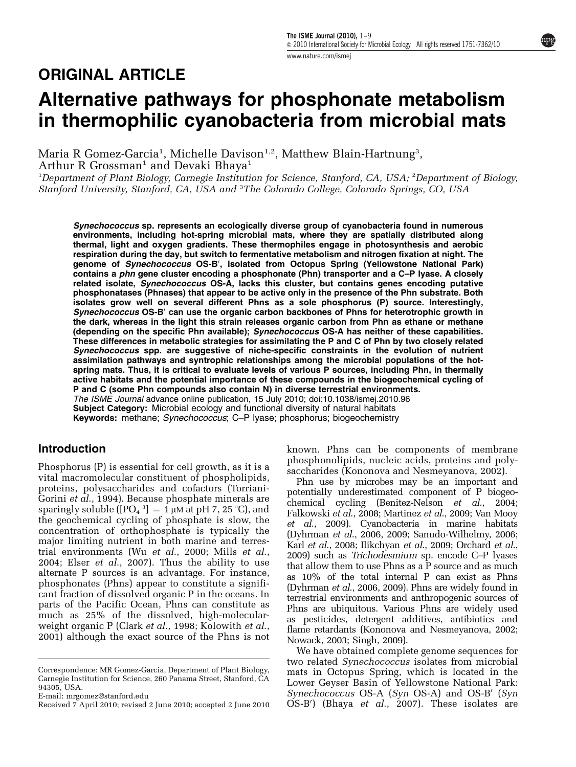# Alternative pathways for phosphonate metabolism in thermophilic cyanobacteria from microbial mats

Maria R Gomez-Garcia<sup>1</sup>, Michelle Davison $^{1,2}$ , Matthew Blain-Hartnung $^3,$ Arthur R Grossman<sup>1</sup> and Devaki Bhaya<sup>1</sup>

<sup>1</sup>Department of Plant Biology, Carnegie Institution for Science, Stanford, CA, USA; <sup>2</sup>Department of Biology, Stanford University, Stanford, CA, USA and <sup>3</sup>The Colorado College, Colorado Springs, CO, USA

Synechococcus sp. represents an ecologically diverse group of cyanobacteria found in numerous environments, including hot-spring microbial mats, where they are spatially distributed along thermal, light and oxygen gradients. These thermophiles engage in photosynthesis and aerobic respiration during the day, but switch to fermentative metabolism and nitrogen fixation at night. The genome of Synechococcus OS-B', isolated from Octopus Spring (Yellowstone National Park) contains a phn gene cluster encoding a phosphonate (Phn) transporter and a C-P lyase. A closely related isolate, Synechococcus OS-A, lacks this cluster, but contains genes encoding putative phosphonatases (Phnases) that appear to be active only in the presence of the Phn substrate. Both isolates grow well on several different Phns as a sole phosphorus (P) source. Interestingly, Synechococcus OS-B<sup>'</sup> can use the organic carbon backbones of Phns for heterotrophic growth in the dark, whereas in the light this strain releases organic carbon from Phn as ethane or methane (depending on the specific Phn available); Synechococcus OS-A has neither of these capabilities. These differences in metabolic strategies for assimilating the P and C of Phn by two closely related Synechococcus spp. are suggestive of niche-specific constraints in the evolution of nutrient assimilation pathways and syntrophic relationships among the microbial populations of the hotspring mats. Thus, it is critical to evaluate levels of various P sources, including Phn, in thermally active habitats and the potential importance of these compounds in the biogeochemical cycling of P and C (some Phn compounds also contain N) in diverse terrestrial environments. The ISME Journal advance online publication, 15 July 2010; doi[:10.1038/ismej.2010.96](http://dx.doi.org/10.1038/ismej.2010.96) Subject Category: Microbial ecology and functional diversity of natural habitats

Keywords: methane; Synechococcus; C-P lyase; phosphorus; biogeochemistry

# Introduction

Phosphorus (P) is essential for cell growth, as it is a vital macromolecular constituent of phospholipids, proteins, polysaccharides and cofactors ([Torriani-](#page-8-0)Gorini et al[., 1994](#page-8-0)). Because phosphate minerals are sparingly soluble ([PO $_{\rm 4}$   $^{\rm 3]}$   $= \, \rm 1 \, \mu$ M at pH 7, 25 °C), and the geochemical cycling of phosphate is slow, the concentration of orthophosphate is typically the major limiting nutrient in both marine and terrestrial environments (Wu et al[., 2000; Mills](#page-8-0) et al., [2004;](#page-8-0) Elser et al[., 2007\)](#page-7-0). Thus the ability to use alternate P sources is an advantage. For instance, phosphonates (Phns) appear to constitute a significant fraction of dissolved organic P in the oceans. In parts of the Pacific Ocean, Phns can constitute as much as 25% of the dissolved, high-molecularweight organic P (Clark *et al.*, 1998; [Kolowith](#page-7-0) *et al.*, [2001\)](#page-7-0) although the exact source of the Phns is not known. Phns can be components of membrane phosphonolipids, nucleic acids, proteins and polysaccharides ([Kononova and Nesmeyanova, 2002\)](#page-7-0).

Phn use by microbes may be an important and potentially underestimated component of P biogeochemical cycling [\(Benitez-Nelson](#page-7-0) et al., 2004; [Falkowski](#page-7-0) et al., 2008; [Martinez](#page-8-0) et al., 2009; [Van Mooy](#page-8-0) et al[., 2009\)](#page-8-0). Cyanobacteria in marine habitats (Dyhrman et al[., 2006, 2009;](#page-7-0) [Sanudo-Wilhelmy, 2006;](#page-8-0) Karl et al[., 2008](#page-7-0); [Ilikchyan](#page-7-0) et al., 2009; [Orchard](#page-8-0) et al., [2009\)](#page-8-0) such as Trichodesmium sp. encode C–P lyases that allow them to use Phns as a  $\tilde{P}$  source and as much as 10% of the total internal P can exist as Phns (Dyhrman et al[., 2006, 2009\)](#page-7-0). Phns are widely found in terrestrial environments and anthropogenic sources of Phns are ubiquitous. Various Phns are widely used as pesticides, detergent additives, antibiotics and flame retardants ([Kononova and Nesmeyanova, 2002](#page-7-0); [Nowack, 2003; Singh, 2009](#page-8-0)).

We have obtained complete genome sequences for two related Synechococcus isolates from microbial mats in Octopus Spring, which is located in the Lower Geyser Basin of Yellowstone National Park: Synechococcus  $OS-A$  (Syn  $OS-A$ ) and  $OS-B'$  (Syn Received 7 April 2010; revised 2 June 2010; accepted 2 June 2010  $\overrightarrow{OS-B'}$  (Bhaya *et al.*, 2007). These isolates are

Correspondence: MR Gomez-Garcia, Department of Plant Biology, Carnegie Institution for Science, 260 Panama Street, Stanford, CA 94305, USA.

E-mail: [mrgomez@stanford.edu](mailto:mrgomez@stanford.edu)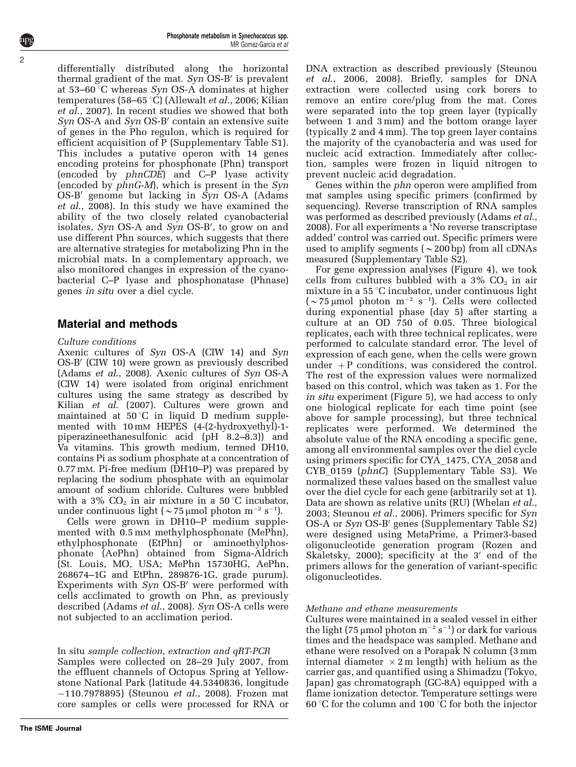differentially distributed along the horizontal thermal gradient of the mat.  $Syn$  OS-B' is prevalent at 53–60  $\degree$ C whereas *Syn* OS-A dominates at higher temperatures (58–65 °C) ([Allewalt](#page-7-0) et al., 2006; [Kilian](#page-7-0) et al[., 2007\)](#page-7-0). In recent studies we showed that both  $Syn$  OS-A and  $Syn$  OS-B' contain an extensive suite of genes in the Pho regulon, which is required for efficient acquisition of P (Supplementary Table S1). This includes a putative operon with 14 genes encoding proteins for phosphonate (Phn) transport (encoded by phnCDE) and C–P lyase activity (encoded by phnG-M), which is present in the Syn OS-B' genome but lacking in  $\overline{Syn}$  OS-A [\(Adams](#page-7-0) et al[., 2008](#page-7-0)). In this study we have examined the ability of the two closely related cyanobacterial isolates, Syn OS-A and Syn OS-B', to grow on and use different Phn sources, which suggests that there are alternative strategies for metabolizing Phn in the microbial mats. In a complementary approach, we also monitored changes in expression of the cyanobacterial C–P lyase and phosphonatase (Phnase) genes in situ over a diel cycle.

# Material and methods

## Culture conditions

Axenic cultures of Syn OS-A (CIW 14) and Syn OS-B' (CIW 10) were grown as previously described ([Adams](#page-7-0) et al., 2008). Axenic cultures of Syn OS-A (CIW 14) were isolated from original enrichment cultures using the same strategy as described by Kilian et al[. \(2007\).](#page-7-0) Cultures were grown and maintained at  $50^{\circ}$ C in liquid D medium supplemented with 10 mM HEPES (4-(2-hydroxyethyl)-1 piperazineethanesulfonic acid (pH 8.2–8.3)) and Va vitamins. This growth medium, termed DH10, contains Pi as sodium phosphate at a concentration of 0.77 mM. Pi-free medium (DH10–P) was prepared by replacing the sodium phosphate with an equimolar amount of sodium chloride. Cultures were bubbled with a 3%  $CO<sub>2</sub>$  in air mixture in a 50 °C incubator, under continuous light ( $\sim$ 75 µmol photon m<sup>-2</sup> s<sup>-1</sup>).

Cells were grown in DH10–P medium supplemented with  $0.5$  mM methylphosphonate (MePhn), ethylphosphonate (EtPhn) or aminoethylphosphonate (AePhn) obtained from Sigma-Aldrich (St. Louis, MO, USA; MePhn 15730HG, AePhn, 268674–1G and EtPhn, 289876-1G, grade purum). Experiments with  $Syn$  OS-B' were performed with cells acclimated to growth on Phn, as previously described ([Adams](#page-7-0) et al., 2008). Syn OS-A cells were not subjected to an acclimation period.

In situ sample collection, extraction and qRT-PCR Samples were collected on 28–29 July 2007, from the effluent channels of Octopus Spring at Yellowstone National Park (latitude 44.5340836, longitude -110.7978895) ([Steunou](#page-8-0) et al., 2008). Frozen mat core samples or cells were processed for RNA or DNA extraction as described previously [\(Steunou](#page-8-0) et al[., 2006, 2008\)](#page-8-0). Briefly, samples for DNA extraction were collected using cork borers to remove an entire core/plug from the mat. Cores were separated into the top green layer (typically between 1 and 3 mm) and the bottom orange layer (typically 2 and 4 mm). The top green layer contains the majority of the cyanobacteria and was used for nucleic acid extraction. Immediately after collection, samples were frozen in liquid nitrogen to prevent nucleic acid degradation.

Genes within the phn operon were amplified from mat samples using specific primers (confirmed by sequencing). Reverse transcription of RNA samples was performed as described previously ([Adams](#page-7-0) *et al.*, [2008](#page-7-0)). For all experiments a 'No reverse transcriptase added' control was carried out. Specific primers were used to amplify segments ( $\sim$ 200 bp) from all cDNAs measured (Supplementary Table S2).

For gene expression analyses ([Figure 4\)](#page-5-0), we took cells from cultures bubbled with a  $3\%$  CO<sub>2</sub> in air mixture in a  $55 \degree C$  incubator, under continuous light  $({\sim}75 \,\mu \text{mol}$  photon m<sup>-2</sup> s<sup>-1</sup>). Cells were collected during exponential phase (day 5) after starting a culture at an OD 750 of 0.05. Three biological replicates, each with three technical replicates, were performed to calculate standard error. The level of expression of each gene, when the cells were grown under  $+P$  conditions, was considered the control. The rest of the expression values were normalized based on this control, which was taken as 1. For the in situ experiment [\(Figure 5](#page-5-0)), we had access to only one biological replicate for each time point (see above for sample processing), but three technical replicates were performed. We determined the absolute value of the RNA encoding a specific gene, among all environmental samples over the diel cycle using primers specific for CYA\_1475, CYA\_2058 and CYB\_0159 (phnC) (Supplementary Table S3). We normalized these values based on the smallest value over the diel cycle for each gene (arbitrarily set at 1). Data are shown as relative units (RU) [\(Whelan](#page-8-0) *et al.*, [2003; Steunou](#page-8-0) et al., 2006). Primers specific for Syn  $OS-A$  or  $Syn$   $OS-B'$  genes (Supplementary Table S2) were designed using MetaPrime, a Primer3-based oligonucleotide generation program ([Rozen and](#page-8-0) [Skaletsky, 2000](#page-8-0)); specificity at the  $3'$  end of the primers allows for the generation of variant-specific oligonucleotides.

## Methane and ethane measurements

Cultures were maintained in a sealed vessel in either the light (75  $\mu$ mol photon m<sup>-2</sup> s<sup>-1</sup>) or dark for various times and the headspace was sampled. Methane and ethane were resolved on a Porapak N column (3 mm internal diameter  $\times$  2 m length) with helium as the carrier gas, and quantified using a Shimadzu (Tokyo, Japan) gas chromatograph (GC-8A) equipped with a flame ionization detector. Temperature settings were 60 °C for the column and 100 °C for both the injector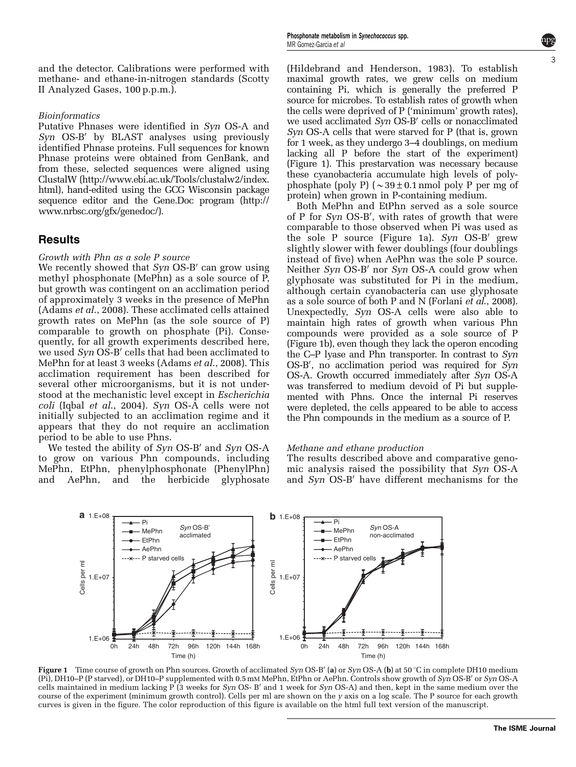and the detector. Calibrations were performed with methane- and ethane-in-nitrogen standards (Scotty II Analyzed Gases, 100 p.p.m.).

#### Bioinformatics

Putative Phnases were identified in Syn OS-A and  $Syn$  OS-B<sup> $\prime}$ </sup> by BLAST analyses using previously identified Phnase proteins. Full sequences for known Phnase proteins were obtained from GenBank, and from these, selected sequences were aligned using ClustalW (http://www.ebi.ac.uk/Tools/clustalw2/index. html), hand-edited using the GCG Wisconsin package sequence editor and the Gene.Doc program (http:// www.nrbsc.org/gfx/genedoc/).

## **Results**

#### Growth with Phn as a sole P source

We recently showed that  $Syn$  OS-B' can grow using methyl phosphonate (MePhn) as a sole source of P, but growth was contingent on an acclimation period of approximately 3 weeks in the presence of MePhn [\(Adams](#page-7-0) et al., 2008). These acclimated cells attained growth rates on MePhn (as the sole source of P) comparable to growth on phosphate (Pi). Consequently, for all growth experiments described here, we used  $Syn$  OS-B' cells that had been acclimated to MePhn for at least 3 weeks ([Adams](#page-7-0) et al., 2008). This acclimation requirement has been described for several other microorganisms, but it is not understood at the mechanistic level except in Escherichia coli (Iqbal et al[., 2004\)](#page-7-0). Syn OS-A cells were not initially subjected to an acclimation regime and it appears that they do not require an acclimation period to be able to use Phns.

We tested the ability of  $Syn$  OS-B' and  $Syn$  OS-A to grow on various Phn compounds, including MePhn, EtPhn, phenylphosphonate (PhenylPhn) and AePhn, and the herbicide glyphosate

[\(Hildebrand and Henderson, 1983](#page-7-0)). To establish maximal growth rates, we grew cells on medium containing Pi, which is generally the preferred P source for microbes. To establish rates of growth when the cells were deprived of P ('minimum' growth rates), we used acclimated Syn OS-B' cells or nonacclimated Syn OS-A cells that were starved for P (that is, grown for 1 week, as they undergo 3–4 doublings, on medium lacking all P before the start of the experiment) (Figure 1). This prestarvation was necessary because these cyanobacteria accumulate high levels of polyphosphate (poly P) ( $\sim$ 39±0.1 nmol poly P per mg of protein) when grown in P-containing medium.

Both MePhn and EtPhn served as a sole source of P for Syn OS-B', with rates of growth that were comparable to those observed when Pi was used as the sole P source (Figure 1a).  $Syn$  OS-B' grew slightly slower with fewer doublings (four doublings instead of five) when AePhn was the sole P source. Neither  $Syn$  OS-B' nor  $Syn$  OS-A could grow when glyphosate was substituted for Pi in the medium, although certain cyanobacteria can use glyphosate as a sole source of both P and N [\(Forlani](#page-7-0) et al., 2008). Unexpectedly, Syn OS-A cells were also able to maintain high rates of growth when various Phn compounds were provided as a sole source of P (Figure 1b), even though they lack the operon encoding the C–P lyase and Phn transporter. In contrast to Syn OS-B', no acclimation period was required for Syn OS-A. Growth occurred immediately after Syn OS-A was transferred to medium devoid of Pi but supplemented with Phns. Once the internal Pi reserves were depleted, the cells appeared to be able to access the Phn compounds in the medium as a source of P.

#### Methane and ethane production

The results described above and comparative genomic analysis raised the possibility that Syn OS-A and  $Syn$  OS-B' have different mechanisms for the



Figure 1 Time course of growth on Phn sources. Growth of acclimated Syn OS-B' (a) or Syn OS-A (b) at 50 °C in complete DH10 medium  $(P_1)$ , DH10–P (P starved), or DH10–P supplemented with 0.5 mM MePhn, EtPhn or AePhn. Controls show growth of  $Syn$  OS-B' or Syn OS-A cells maintained in medium lacking  $P(3$  weeks for Syn OS- B' and 1 week for Syn OS-A) and then, kept in the same medium over the course of the experiment (minimum growth control). Cells per ml are shown on the y axis on a log scale. The P source for each growth curves is given in the figure. The color reproduction of this figure is available on the html full text version of the manuscript.

3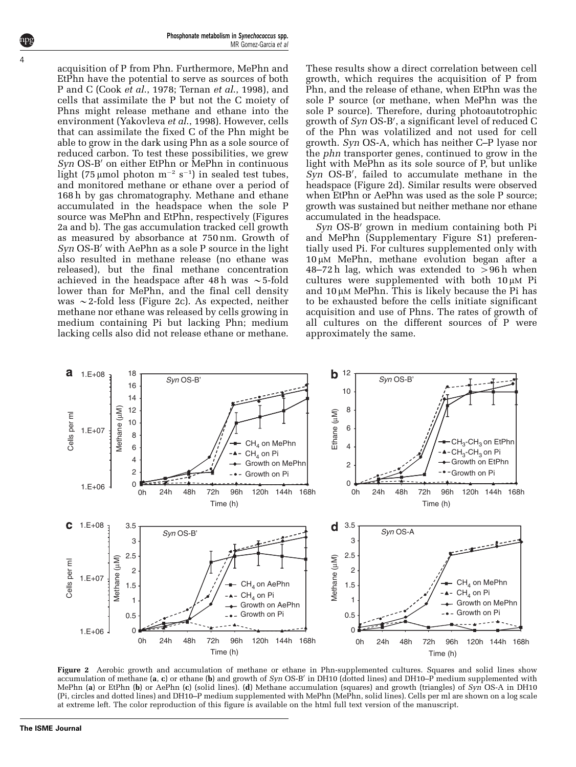acquisition of P from Phn. Furthermore, MePhn and EtPhn have the potential to serve as sources of both P and C (Cook et al[., 1978;](#page-7-0) [Ternan](#page-8-0) et al., 1998), and cells that assimilate the P but not the C moiety of Phns might release methane and ethane into the environment [\(Yakovleva](#page-8-0) et al., 1998). However, cells that can assimilate the fixed C of the Phn might be able to grow in the dark using Phn as a sole source of reduced carbon. To test these possibilities, we grew  $Syn$  OS-B' on either EtPhn or MePhn in continuous light (75 µmol photon  $m^{-2}$  s<sup>-1</sup>) in sealed test tubes, and monitored methane or ethane over a period of 168 h by gas chromatography. Methane and ethane accumulated in the headspace when the sole P source was MePhn and EtPhn, respectively (Figures 2a and b). The gas accumulation tracked cell growth as measured by absorbance at 750 nm. Growth of  $Syn$  OS-B' with AePhn as a sole P source in the light also resulted in methane release (no ethane was released), but the final methane concentration achieved in the headspace after 48 h was  $\sim$  5-fold lower than for MePhn, and the final cell density was  $\sim$  2-fold less (Figure 2c). As expected, neither methane nor ethane was released by cells growing in medium containing Pi but lacking Phn; medium lacking cells also did not release ethane or methane.

These results show a direct correlation between cell growth, which requires the acquisition of P from Phn, and the release of ethane, when EtPhn was the sole P source (or methane, when MePhn was the sole P source). Therefore, during photoautotrophic growth of Syn OS-B', a significant level of reduced C of the Phn was volatilized and not used for cell growth. Syn OS-A, which has neither C–P lyase nor the phn transporter genes, continued to grow in the light with MePhn as its sole source of P, but unlike Syn OS-B', failed to accumulate methane in the headspace (Figure 2d). Similar results were observed when EtPhn or AePhn was used as the sole P source; growth was sustained but neither methane nor ethane accumulated in the headspace.

 $Syn$  OS-B' grown in medium containing both Pi and MePhn (Supplementary Figure S1) preferentially used Pi. For cultures supplemented only with  $10 \mu$ M MePhn, methane evolution began after a 48–72 h lag, which was extended to  $>96$  h when cultures were supplemented with both  $10 \mu M$  Pi and  $10 \mu M$  MePhn. This is likely because the Pi has to be exhausted before the cells initiate significant acquisition and use of Phns. The rates of growth of all cultures on the different sources of P were approximately the same.



**Figure 2** Aerobic growth and accumulation of methane or ethane in Phn-supplemented cultures. Squares and solid lines show<br>accumulation of methane (**a**, **c**) or ethane (**b**) and growth of *Syn* OS-B' in DH10 (dotted line MePhn (a) or EtPhn (b) or AePhn (c) (solid lines). (d) Methane accumulation (squares) and growth (triangles) of Syn OS-A in DH10 (Pi, circles and dotted lines) and DH10–P medium supplemented with MePhn (MePhn, solid lines). Cells per ml are shown on a log scale at extreme left. The color reproduction of this figure is available on the html full text version of the manuscript.

4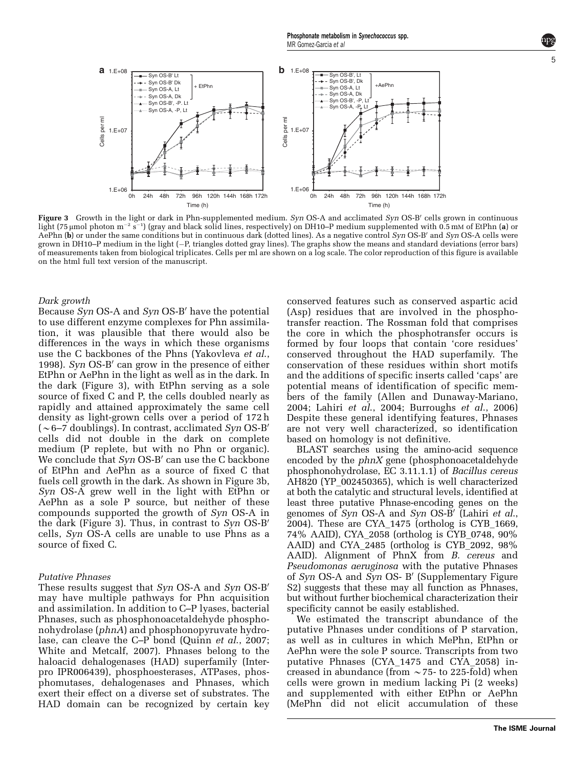

Figure 3 Growth in the light or dark in Phn-supplemented medium. Syn OS-A and acclimated Syn OS-B' cells grown in continuous light (75 µmol photon m $^{-2}$  s $^{-1})$  (gray and black solid lines, respectively) on DH10–P medium supplemented with 0.5 mM of EtPhn (a) or AePhn  $(b)$  or under the same conditions but in continuous dark (dotted lines). As a negative control Syn OS-B' and Syn OS-A cells were grown in DH10–P medium in the light (-P, triangles dotted gray lines). The graphs show the means and standard deviations (error bars) of measurements taken from biological triplicates. Cells per ml are shown on a log scale. The color reproduction of this figure is available on the html full text version of the manuscript.

#### Dark growth

Because  $Syn$  OS-A and  $Syn$  OS-B' have the potential to use different enzyme complexes for Phn assimilation, it was plausible that there would also be differences in the ways in which these organisms use the C backbones of the Phns [\(Yakovleva](#page-8-0) et al., [1998\)](#page-8-0). Syn  $OS-B'$  can grow in the presence of either EtPhn or AePhn in the light as well as in the dark. In the dark (Figure 3), with EtPhn serving as a sole source of fixed C and P, the cells doubled nearly as rapidly and attained approximately the same cell density as light-grown cells over a period of 172 h  $({\sim}6$ –7 doublings). In contrast, acclimated Syn OS-B' cells did not double in the dark on complete medium (P replete, but with no Phn or organic). We conclude that  $Syn$  OS-B' can use the C backbone of EtPhn and AePhn as a source of fixed C that fuels cell growth in the dark. As shown in Figure 3b, Syn OS-A grew well in the light with EtPhn or AePhn as a sole P source, but neither of these compounds supported the growth of Syn OS-A in the dark (Figure 3). Thus, in contrast to  $Syn$  OS-B' cells, Syn OS-A cells are unable to use Phns as a source of fixed C.

### Putative Phnases

These results suggest that Syn OS-A and Syn OS-B' may have multiple pathways for Phn acquisition and assimilation. In addition to C–P lyases, bacterial Phnases, such as phosphonoacetaldehyde phosphonohydrolase (phnA) and phosphonopyruvate hydro-lase, can cleave the C–P bond (Quinn et al[., 2007;](#page-8-0) [White and Metcalf, 2007](#page-8-0)). Phnases belong to the haloacid dehalogenases (HAD) superfamily (Interpro IPR006439), phosphoesterases, ATPases, phosphomutases, dehalogenases and Phnases, which exert their effect on a diverse set of substrates. The HAD domain can be recognized by certain key

conserved features such as conserved aspartic acid (Asp) residues that are involved in the phosphotransfer reaction. The Rossman fold that comprises the core in which the phosphotransfer occurs is formed by four loops that contain 'core residues' conserved throughout the HAD superfamily. The conservation of these residues within short motifs and the additions of specific inserts called 'caps' are potential means of identification of specific members of the family [\(Allen and Dunaway-Mariano,](#page-7-0) [2004;](#page-7-0) Lahiri et al[., 2004;](#page-8-0) [Burroughs](#page-7-0) et al., 2006) Despite these general identifying features, Phnases are not very well characterized, so identification based on homology is not definitive.

BLAST searches using the amino-acid sequence encoded by the phnX gene (phosphonoacetaldehyde phosphonohydrolase, EC 3.11.1.1) of Bacillus cereus AH820 (YP\_002450365), which is well characterized at both the catalytic and structural levels, identified at least three putative Phnase-encoding genes on the genomes of  $Syn$  OS-A and  $Syn$  OS-B' [\(Lahiri](#page-8-0) et al., [2004](#page-8-0)). These are CYA\_1475 (ortholog is CYB\_1669, 74% AAID), CYA\_2058 (ortholog is CYB\_0748, 90% AAID) and CYA\_2485 (ortholog is CYB\_2092, 98% AAID). Alignment of PhnX from B. cereus and Pseudomonas aeruginosa with the putative Phnases of  $Syn$  OS-A and  $Syn$  OS- B' (Supplementary Figure S2) suggests that these may all function as Phnases, but without further biochemical characterization their specificity cannot be easily established.

We estimated the transcript abundance of the putative Phnases under conditions of P starvation, as well as in cultures in which MePhn, EtPhn or AePhn were the sole P source. Transcripts from two putative Phnases (CYA\_1475 and CYA\_2058) increased in abundance (from  $\sim$  75- to 225-fold) when cells were grown in medium lacking Pi (2 weeks) and supplemented with either EtPhn or AePhn (MePhn did not elicit accumulation of these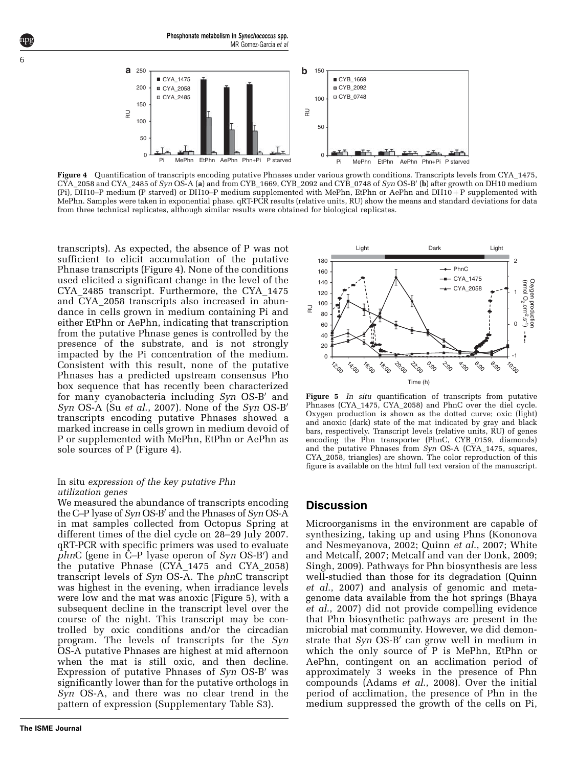

Figure 4 Quantification of transcripts encoding putative Phnases under various growth conditions. Transcripts levels from CYA\_1475,  $CYA\_2058$  and  $CYA\_2485$  of  $Syn$   $OS-A$  (a) and from  $CYB\_1669$ ,  $CYB\_2092$  and  $CYB\_0748$  of  $Syn$   $OS-B'$  (b) after growth on DH10 medium (Pi), DH10–P medium (P starved) or DH10–P medium supplemented with MePhn, EtPhn or AePhn and DH10+P supplemented with MePhn. Samples were taken in exponential phase. qRT-PCR results (relative units, RU) show the means and standard deviations for data from three technical replicates, although similar results were obtained for biological replicates.

transcripts). As expected, the absence of P was not sufficient to elicit accumulation of the putative Phnase transcripts (Figure 4). None of the conditions used elicited a significant change in the level of the CYA\_2485 transcript. Furthermore, the CYA\_1475 and CYA\_2058 transcripts also increased in abundance in cells grown in medium containing Pi and either EtPhn or AePhn, indicating that transcription from the putative Phnase genes is controlled by the presence of the substrate, and is not strongly impacted by the Pi concentration of the medium. Consistent with this result, none of the putative Phnases has a predicted upstream consensus Pho box sequence that has recently been characterized for many cyanobacteria including Syn OS-B' and Syn OS-A (Su et al[., 2007\)](#page-8-0). None of the Syn OS-B' transcripts encoding putative Phnases showed a marked increase in cells grown in medium devoid of P or supplemented with MePhn, EtPhn or AePhn as sole sources of P (Figure 4).

## In situ expression of the key putative Phn utilization genes

We measured the abundance of transcripts encoding the C–P lyase of  $Sm$  OS-B' and the Phnases of  $Sm$  OS-A in mat samples collected from Octopus Spring at different times of the diel cycle on 28–29 July 2007. qRT-PCR with specific primers was used to evaluate  $phnC$  (gene in  $\bar{C}-P$  lyase operon of Syn OS-B') and the putative Phnase (CYA\_1475 and CYA\_2058) transcript levels of Syn OS-A. The phnC transcript was highest in the evening, when irradiance levels were low and the mat was anoxic (Figure 5), with a subsequent decline in the transcript level over the course of the night. This transcript may be controlled by oxic conditions and/or the circadian program. The levels of transcripts for the Syn OS-A putative Phnases are highest at mid afternoon when the mat is still oxic, and then decline. Expression of putative Phnases of  $Syn$  OS-B<sup> $\prime$ </sup> was significantly lower than for the putative orthologs in Syn OS-A, and there was no clear trend in the pattern of expression (Supplementary Table S3).

<span id="page-5-0"></span>6



Figure 5 In situ quantification of transcripts from putative Phnases (CYA\_1475, CYA\_2058) and PhnC over the diel cycle. Oxygen production is shown as the dotted curve; oxic (light) and anoxic (dark) state of the mat indicated by gray and black bars, respectively. Transcript levels (relative units, RU) of genes encoding the Phn transporter (PhnC, CYB\_0159, diamonds) and the putative Phnases from Syn OS-A (CYA\_1475, squares, CYA\_2058, triangles) are shown. The color reproduction of this figure is available on the html full text version of the manuscript.

## Discussion

Microorganisms in the environment are capable of synthesizing, taking up and using Phns [\(Kononova](#page-7-0) [and Nesmeyanova, 2002;](#page-7-0) Quinn et al[., 2007](#page-8-0); [White](#page-8-0) [and Metcalf, 2007](#page-8-0); [Metcalf and van der Donk, 2009;](#page-8-0) [Singh, 2009\)](#page-8-0). Pathways for Phn biosynthesis are less well-studied than those for its degradation [\(Quinn](#page-8-0) et al[., 2007\)](#page-8-0) and analysis of genomic and metagenome data available from the hot springs [\(Bhaya](#page-7-0) et al[., 2007](#page-7-0)) did not provide compelling evidence that Phn biosynthetic pathways are present in the microbial mat community. However, we did demonstrate that  $Syn$  OS-B' can grow well in medium in which the only source of P is MePhn, EtPhn or AePhn, contingent on an acclimation period of approximately 3 weeks in the presence of Phn compounds (Adams et al[., 2008](#page-7-0)). Over the initial period of acclimation, the presence of Phn in the medium suppressed the growth of the cells on Pi,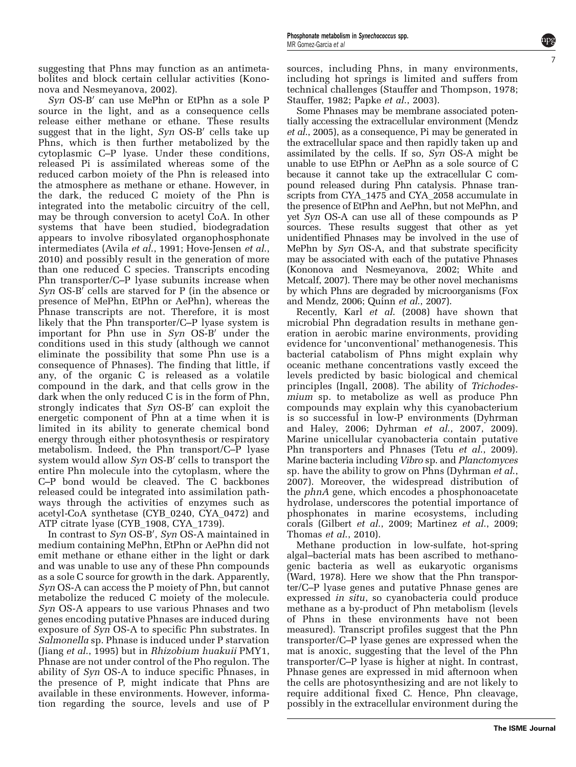suggesting that Phns may function as an antimetabolites and block certain cellular activities [\(Kono](#page-7-0)[nova and Nesmeyanova, 2002\)](#page-7-0).

 $Syn$  OS-B' can use MePhn or EtPhn as a sole P source in the light, and as a consequence cells release either methane or ethane. These results suggest that in the light,  $Syn$  OS-B' cells take up Phns, which is then further metabolized by the cytoplasmic C–P lyase. Under these conditions, released Pi is assimilated whereas some of the reduced carbon moiety of the Phn is released into the atmosphere as methane or ethane. However, in the dark, the reduced C moiety of the Phn is integrated into the metabolic circuitry of the cell, may be through conversion to acetyl CoA. In other systems that have been studied, biodegradation appears to involve ribosylated organophosphonate intermediates (Avila et al[., 1991; Hove-Jensen](#page-7-0) et al., [2010\)](#page-7-0) and possibly result in the generation of more than one reduced C species. Transcripts encoding Phn transporter/C–P lyase subunits increase when  $Syn$  OS-B' cells are starved for P (in the absence or presence of MePhn, EtPhn or AePhn), whereas the Phnase transcripts are not. Therefore, it is most likely that the Phn transporter/C–P lyase system is important for Phn use in  $Syn$  OS-B' under the conditions used in this study (although we cannot eliminate the possibility that some Phn use is a consequence of Phnases). The finding that little, if any, of the organic C is released as a volatile compound in the dark, and that cells grow in the dark when the only reduced C is in the form of Phn, strongly indicates that  $Syn$  OS-B' can exploit the energetic component of Phn at a time when it is limited in its ability to generate chemical bond energy through either photosynthesis or respiratory metabolism. Indeed, the Phn transport/C–P lyase system would allow Syn OS-B' cells to transport the entire Phn molecule into the cytoplasm, where the C–P bond would be cleaved. The C backbones released could be integrated into assimilation pathways through the activities of enzymes such as acetyl-CoA synthetase (CYB\_0240, CYA\_0472) and ATP citrate lyase (CYB\_1908, CYA\_1739).

In contrast to Syn OS-B', Syn OS-A maintained in medium containing MePhn, EtPhn or AePhn did not emit methane or ethane either in the light or dark and was unable to use any of these Phn compounds as a sole C source for growth in the dark. Apparently, Syn OS-A can access the P moiety of Phn, but cannot metabolize the reduced C moiety of the molecule. Syn OS-A appears to use various Phnases and two genes encoding putative Phnases are induced during exposure of Syn OS-A to specific Phn substrates. In Salmonella sp. Phnase is induced under P starvation (Jiang et al[., 1995](#page-7-0)) but in Rhizobium huakuii PMY1, Phnase are not under control of the Pho regulon. The ability of Syn OS-A to induce specific Phnases, in the presence of P, might indicate that Phns are available in these environments. However, information regarding the source, levels and use of P sources, including Phns, in many environments, including hot springs is limited and suffers from technical challenges ([Stauffer and Thompson, 1978;](#page-8-0) [Stauffer, 1982](#page-8-0); Papke et al[., 2003\)](#page-8-0).

7

Some Phnases may be membrane associated potentially accessing the extracellular environment [\(Mendz](#page-8-0) et al[., 2005\)](#page-8-0), as a consequence, Pi may be generated in the extracellular space and then rapidly taken up and assimilated by the cells. If so,  $S_{V}$  OS-A might be unable to use EtPhn or AePhn as a sole source of C because it cannot take up the extracellular C compound released during Phn catalysis. Phnase transcripts from CYA\_1475 and CYA\_2058 accumulate in the presence of EtPhn and AePhn, but not MePhn, and yet Syn OS-A can use all of these compounds as P sources. These results suggest that other as yet unidentified Phnases may be involved in the use of MePhn by Syn OS-A, and that substrate specificity may be associated with each of the putative Phnases [\(Kononova and Nesmeyanova, 2002](#page-7-0); [White and](#page-8-0) [Metcalf, 2007](#page-8-0)). There may be other novel mechanisms by which Phns are degraded by microorganisms [\(Fox](#page-7-0) [and Mendz, 2006;](#page-7-0) Quinn et al[., 2007\)](#page-8-0).

Recently, Karl et al[. \(2008\)](#page-7-0) have shown that microbial Phn degradation results in methane generation in aerobic marine environments, providing evidence for 'unconventional' methanogenesis. This bacterial catabolism of Phns might explain why oceanic methane concentrations vastly exceed the levels predicted by basic biological and chemical principles [\(Ingall, 2008\)](#page-7-0). The ability of Trichodesmium sp. to metabolize as well as produce Phn compounds may explain why this cyanobacterium is so successful in low-P environments [\(Dyhrman](#page-7-0) [and Haley, 2006;](#page-7-0) Dyhrman et al[., 2007, 2009\)](#page-7-0). Marine unicellular cyanobacteria contain putative Phn transporters and Phnases (Tetu *et al.*, 2009). Marine bacteria including Vibro sp. and Planctomyces sp. have the ability to grow on Phns ([Dyhrman](#page-7-0) et al., [2007\)](#page-7-0). Moreover, the widespread distribution of the phnA gene, which encodes a phosphonoacetate hydrolase, underscores the potential importance of phosphonates in marine ecosystems, including corals (Gilbert et al[., 2009;](#page-7-0) [Martinez](#page-8-0) et al., 2009; [Thomas](#page-8-0) et al., 2010).

Methane production in low-sulfate, hot-spring algal–bacterial mats has been ascribed to methanogenic bacteria as well as eukaryotic organisms [\(Ward, 1978](#page-8-0)). Here we show that the Phn transporter/C–P lyase genes and putative Phnase genes are expressed in situ, so cyanobacteria could produce methane as a by-product of Phn metabolism (levels of Phns in these environments have not been measured). Transcript profiles suggest that the Phn transporter/C–P lyase genes are expressed when the mat is anoxic, suggesting that the level of the Phn transporter/C–P lyase is higher at night. In contrast, Phnase genes are expressed in mid afternoon when the cells are photosynthesizing and are not likely to require additional fixed C. Hence, Phn cleavage, possibly in the extracellular environment during the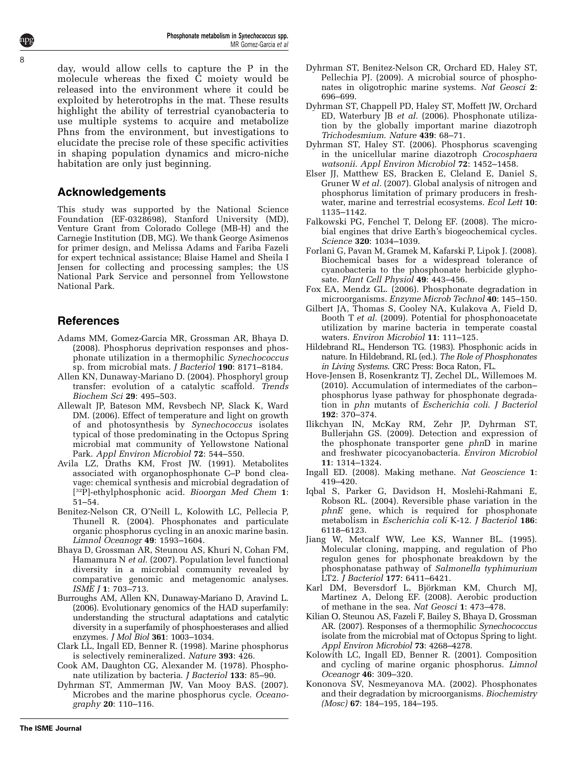day, would allow cells to capture the P in the molecule whereas the fixed C moiety would be released into the environment where it could be exploited by heterotrophs in the mat. These results highlight the ability of terrestrial cyanobacteria to use multiple systems to acquire and metabolize Phns from the environment, but investigations to elucidate the precise role of these specific activities in shaping population dynamics and micro-niche habitation are only just beginning.

# Acknowledgements

<span id="page-7-0"></span>8

This study was supported by the National Science Foundation (EF-0328698), Stanford University (MD), Venture Grant from Colorado College (MB-H) and the Carnegie Institution (DB, MG). We thank George Asimenos for primer design, and Melissa Adams and Fariba Fazeli for expert technical assistance; Blaise Hamel and Sheila I Jensen for collecting and processing samples; the US National Park Service and personnel from Yellowstone National Park.

# References

- Adams MM, Gomez-Garcia MR, Grossman AR, Bhaya D. (2008). Phosphorus deprivation responses and phosphonate utilization in a thermophilic Synechococcus sp. from microbial mats. J Bacteriol 190: 8171–8184.
- Allen KN, Dunaway-Mariano D. (2004). Phosphoryl group transfer: evolution of a catalytic scaffold. Trends Biochem Sci 29: 495–503.
- Allewalt JP, Bateson MM, Revsbech NP, Slack K, Ward DM. (2006). Effect of temperature and light on growth of and photosynthesis by Synechococcus isolates typical of those predominating in the Octopus Spring microbial mat community of Yellowstone National Park. Appl Environ Microbiol 72: 544–550.
- Avila LZ, Draths KM, Frost JW. (1991). Metabolites associated with organophosphonate C–P bond cleavage: chemical synthesis and microbial degradation of [<sup>32</sup>P]-ethylphosphonic acid. Bioorgan Med Chem 1: 51–54.
- Benitez-Nelson CR, O'Neill L, Kolowith LC, Pellecia P, Thunell R. (2004). Phosphonates and particulate organic phosphorus cycling in an anoxic marine basin. Limnol Oceanogr 49: 1593–1604.
- Bhaya D, Grossman AR, Steunou AS, Khuri N, Cohan FM, Hamamura N et al. (2007). Population level functional diversity in a microbial community revealed by comparative genomic and metagenomic analyses. ISME J 1: 703–713.
- Burroughs AM, Allen KN, Dunaway-Mariano D, Aravind L. (2006). Evolutionary genomics of the HAD superfamily: understanding the structural adaptations and catalytic diversity in a superfamily of phosphoesterases and allied enzymes. J Mol Biol 361: 1003–1034.
- Clark LL, Ingall ED, Benner R. (1998). Marine phosphorus is selectively remineralized. Nature 393: 426.
- Cook AM, Daughton CG, Alexander M. (1978). Phosphonate utilization by bacteria. J Bacteriol 133: 85–90.
- Dyhrman ST, Ammerman JW, Van Mooy BAS. (2007). Microbes and the marine phosphorus cycle. Oceanography 20: 110–116.

**The ISME Journal**

- Dyhrman ST, Benitez-Nelson CR, Orchard ED, Haley ST, Pellechia PJ. (2009). A microbial source of phosphonates in oligotrophic marine systems. Nat Geosci 2: 696–699.
- Dyhrman ST, Chappell PD, Haley ST, Moffett JW, Orchard ED, Waterbury JB et al. (2006). Phosphonate utilization by the globally important marine diazotroph Trichodesmium. Nature 439: 68–71.
- Dyhrman ST, Haley ST. (2006). Phosphorus scavenging in the unicellular marine diazotroph Crocosphaera watsonii. Appl Environ Microbiol 72: 1452–1458.
- Elser JJ, Matthew ES, Bracken E, Cleland E, Daniel S, Gruner W et al. (2007). Global analysis of nitrogen and phosphorus limitation of primary producers in freshwater, marine and terrestrial ecosystems. Ecol Lett 10: 1135–1142.
- Falkowski PG, Fenchel T, Delong EF. (2008). The microbial engines that drive Earth's biogeochemical cycles. Science 320: 1034–1039.
- Forlani G, Pavan M, Gramek M, Kafarski P, Lipok J. (2008). Biochemical bases for a widespread tolerance of cyanobacteria to the phosphonate herbicide glyphosate. Plant Cell Physiol 49: 443–456.
- Fox EA, Mendz GL. (2006). Phosphonate degradation in microorganisms. Enzyme Microb Technol 40: 145–150.
- Gilbert JA, Thomas S, Cooley NA, Kulakova A, Field D, Booth T et al. (2009). Potential for phosphonoacetate utilization by marine bacteria in temperate coastal waters. Environ Microbiol 11: 111–125.
- Hildebrand RL, Henderson TG. (1983). Phosphonic acids in nature. In Hildebrand, RL (ed.). The Role of Phosphonates in Living Systems. CRC Press: Boca Raton, FL.
- Hove-Jensen B, Rosenkrantz TJ, Zechel DL, Willemoes M. (2010). Accumulation of intermediates of the carbon– phosphorus lyase pathway for phosphonate degradation in phn mutants of Escherichia coli. J Bacteriol 192: 370–374.
- Ilikchyan IN, McKay RM, Zehr JP, Dyhrman ST, Bullerjahn GS. (2009). Detection and expression of the phosphonate transporter gene phnD in marine and freshwater picocyanobacteria. Environ Microbiol 11: 1314–1324.
- Ingall ED. (2008). Making methane. Nat Geoscience 1: 419–420.
- Iqbal S, Parker G, Davidson H, Moslehi-Rahmani E, Robson RL. (2004). Reversible phase variation in the phnE gene, which is required for phosphonate metabolism in Escherichia coli K-12. J Bacteriol 186: 6118–6123.
- Jiang W, Metcalf WW, Lee KS, Wanner BL. (1995). Molecular cloning, mapping, and regulation of Pho regulon genes for phosphonate breakdown by the phosphonatase pathway of Salmonella typhimurium LT2. J Bacteriol 177: 6411–6421.
- Karl DM, Beversdorf L, Björkman KM, Church MJ, Martinez A, Delong EF. (2008). Aerobic production of methane in the sea. Nat Geosci 1: 473–478.
- Kilian O, Steunou AS, Fazeli F, Bailey S, Bhaya D, Grossman AR. (2007). Responses of a thermophilic Synechococcus isolate from the microbial mat of Octopus Spring to light. Appl Environ Microbiol 73: 4268–4278.
- Kolowith LC, Ingall ED, Benner R. (2001). Composition and cycling of marine organic phosphorus. Limnol Oceanogr 46: 309–320.
- Kononova SV, Nesmeyanova MA. (2002). Phosphonates and their degradation by microorganisms. Biochemistry (Mosc) 67: 184–195, 184–195.